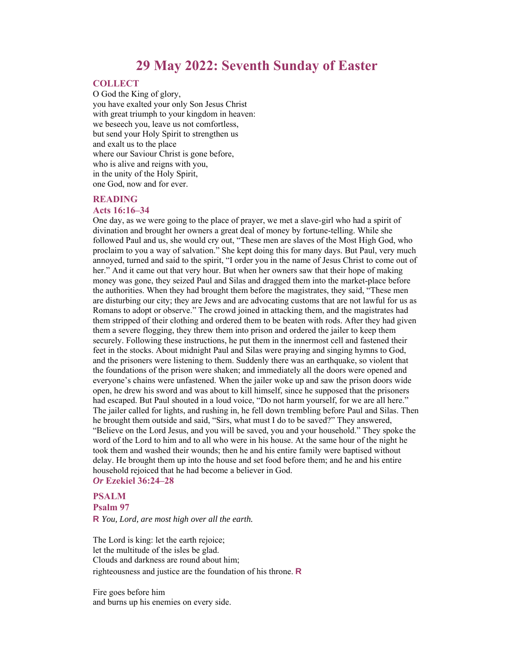# **29 May 2022: Seventh Sunday of Easter**

## **COLLECT**

O God the King of glory, you have exalted your only Son Jesus Christ with great triumph to your kingdom in heaven: we beseech you, leave us not comfortless, but send your Holy Spirit to strengthen us and exalt us to the place where our Saviour Christ is gone before, who is alive and reigns with you, in the unity of the Holy Spirit, one God, now and for ever.

### **READING**

#### **Acts 16:16–34**

One day, as we were going to the place of prayer, we met a slave-girl who had a spirit of divination and brought her owners a great deal of money by fortune-telling. While she followed Paul and us, she would cry out, "These men are slaves of the Most High God, who proclaim to you a way of salvation." She kept doing this for many days. But Paul, very much annoyed, turned and said to the spirit, "I order you in the name of Jesus Christ to come out of her." And it came out that very hour. But when her owners saw that their hope of making money was gone, they seized Paul and Silas and dragged them into the market-place before the authorities. When they had brought them before the magistrates, they said, "These men are disturbing our city; they are Jews and are advocating customs that are not lawful for us as Romans to adopt or observe." The crowd joined in attacking them, and the magistrates had them stripped of their clothing and ordered them to be beaten with rods. After they had given them a severe flogging, they threw them into prison and ordered the jailer to keep them securely. Following these instructions, he put them in the innermost cell and fastened their feet in the stocks. About midnight Paul and Silas were praying and singing hymns to God, and the prisoners were listening to them. Suddenly there was an earthquake, so violent that the foundations of the prison were shaken; and immediately all the doors were opened and everyone's chains were unfastened. When the jailer woke up and saw the prison doors wide open, he drew his sword and was about to kill himself, since he supposed that the prisoners had escaped. But Paul shouted in a loud voice, "Do not harm yourself, for we are all here." The jailer called for lights, and rushing in, he fell down trembling before Paul and Silas. Then he brought them outside and said, "Sirs, what must I do to be saved?" They answered, "Believe on the Lord Jesus, and you will be saved, you and your household." They spoke the word of the Lord to him and to all who were in his house. At the same hour of the night he took them and washed their wounds; then he and his entire family were baptised without delay. He brought them up into the house and set food before them; and he and his entire household rejoiced that he had become a believer in God. *Or* **Ezekiel 36:24–28** 

## **PSALM Psalm 97**  R *You, Lord, are most high over all the earth.*

The Lord is king: let the earth rejoice; let the multitude of the isles be glad. Clouds and darkness are round about him; righteousness and justice are the foundation of his throne. R

Fire goes before him and burns up his enemies on every side.